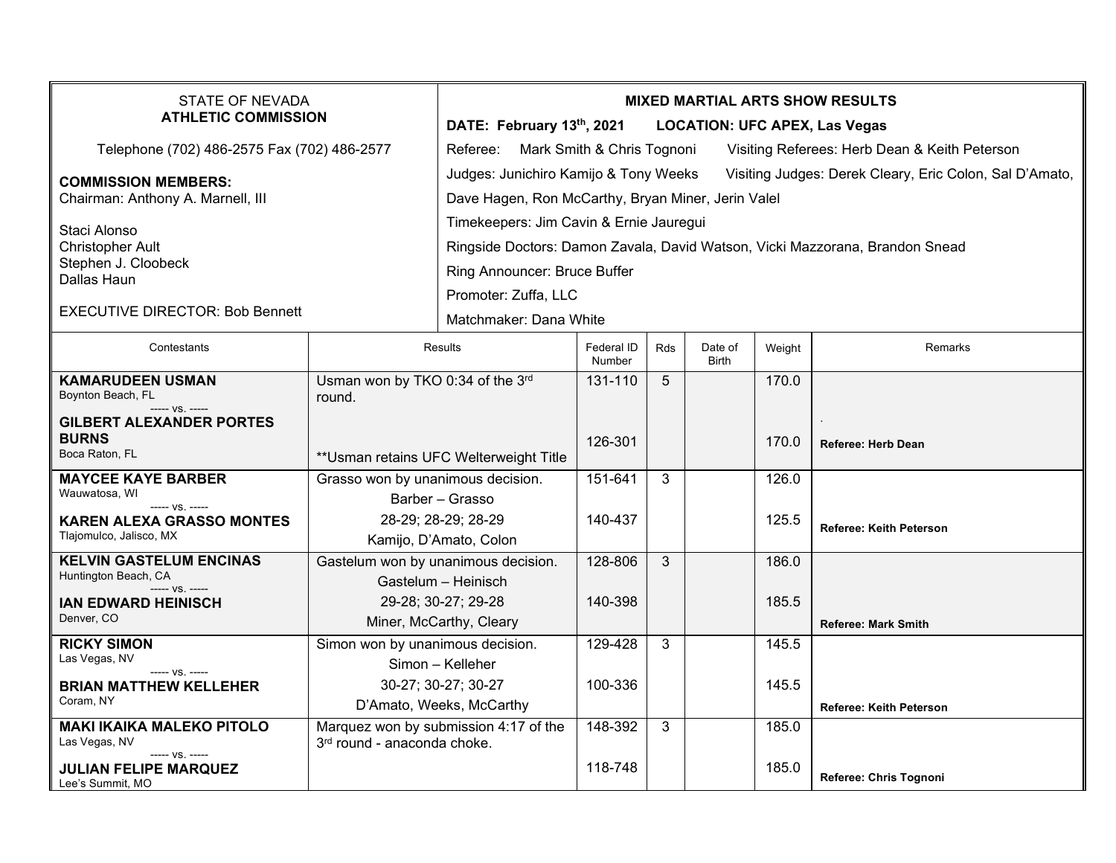| <b>STATE OF NEVADA</b><br><b>ATHLETIC COMMISSION</b>                                                                    |                                                                             | <b>MIXED MARTIAL ARTS SHOW RESULTS</b><br>DATE: February 13th, 2021<br><b>LOCATION: UFC APEX, Las Vegas</b>                                                                                               |                      |                |                         |                |                                |  |  |
|-------------------------------------------------------------------------------------------------------------------------|-----------------------------------------------------------------------------|-----------------------------------------------------------------------------------------------------------------------------------------------------------------------------------------------------------|----------------------|----------------|-------------------------|----------------|--------------------------------|--|--|
| Telephone (702) 486-2575 Fax (702) 486-2577                                                                             |                                                                             | Referee: Mark Smith & Chris Tognoni<br>Visiting Referees: Herb Dean & Keith Peterson                                                                                                                      |                      |                |                         |                |                                |  |  |
| <b>COMMISSION MEMBERS:</b><br>Chairman: Anthony A. Marnell, III                                                         |                                                                             | Judges: Junichiro Kamijo & Tony Weeks<br>Visiting Judges: Derek Cleary, Eric Colon, Sal D'Amato,<br>Dave Hagen, Ron McCarthy, Bryan Miner, Jerin Valel                                                    |                      |                |                         |                |                                |  |  |
| Staci Alonso<br><b>Christopher Ault</b><br>Stephen J. Cloobeck<br>Dallas Haun<br><b>EXECUTIVE DIRECTOR: Bob Bennett</b> |                                                                             | Timekeepers: Jim Cavin & Ernie Jauregui<br>Ringside Doctors: Damon Zavala, David Watson, Vicki Mazzorana, Brandon Snead<br>Ring Announcer: Bruce Buffer<br>Promoter: Zuffa, LLC<br>Matchmaker: Dana White |                      |                |                         |                |                                |  |  |
| Contestants                                                                                                             | Results                                                                     |                                                                                                                                                                                                           | Federal ID<br>Number | Rds            | Date of<br><b>Birth</b> | Weight         | Remarks                        |  |  |
| <b>KAMARUDEEN USMAN</b><br>Boynton Beach, FL                                                                            | Usman won by TKO 0:34 of the 3rd<br>round.                                  |                                                                                                                                                                                                           | 131-110              | $\overline{5}$ |                         | 170.0          |                                |  |  |
| ----- VS. -----<br>GILBERT ALEXANDER PORTES<br><b>BURNS</b><br>Boca Raton, FL                                           | ** Usman retains UFC Welterweight Title                                     |                                                                                                                                                                                                           | 126-301              |                |                         | 170.0          | Referee: Herb Dean             |  |  |
| <b>MAYCEE KAYE BARBER</b><br>Wauwatosa, WI<br>----- VS. -----<br><b>KAREN ALEXA GRASSO MONTES</b>                       | Grasso won by unanimous decision.<br>Barber - Grasso<br>28-29; 28-29; 28-29 |                                                                                                                                                                                                           | 151-641<br>140-437   | 3              |                         | 126.0<br>125.5 | <b>Referee: Keith Peterson</b> |  |  |
| Tlajomulco, Jalisco, MX<br><b>KELVIN GASTELUM ENCINAS</b><br>Huntington Beach, CA                                       | Kamijo, D'Amato, Colon<br>Gastelum won by unanimous decision.               |                                                                                                                                                                                                           | 128-806              | 3              |                         | 186.0          |                                |  |  |
| ----- VS. -----<br><b>IAN EDWARD HEINISCH</b><br>Denver, CO                                                             | Gastelum - Heinisch<br>29-28; 30-27; 29-28<br>Miner, McCarthy, Cleary       |                                                                                                                                                                                                           | 140-398              |                |                         | 185.5          | <b>Referee: Mark Smith</b>     |  |  |
| <b>RICKY SIMON</b><br>Las Vegas, NV<br>----- VS. -----<br><b>BRIAN MATTHEW KELLEHER</b>                                 | Simon won by unanimous decision.<br>Simon - Kelleher<br>30-27; 30-27; 30-27 |                                                                                                                                                                                                           | 129-428<br>100-336   | 3              |                         | 145.5<br>145.5 |                                |  |  |
| Coram, NY                                                                                                               | D'Amato, Weeks, McCarthy                                                    |                                                                                                                                                                                                           |                      |                |                         |                | <b>Referee: Keith Peterson</b> |  |  |
| <b>MAKI IKAIKA MALEKO PITOLO</b><br>Las Vegas, NV<br>----- VS. -----                                                    | Marquez won by submission 4:17 of the<br>3rd round - anaconda choke.        |                                                                                                                                                                                                           | 148-392              | $\mathbf{3}$   |                         | 185.0          |                                |  |  |
| <b>JULIAN FELIPE MARQUEZ</b><br>Lee's Summit, MO                                                                        |                                                                             |                                                                                                                                                                                                           | 118-748              |                |                         | 185.0          | Referee: Chris Tognoni         |  |  |